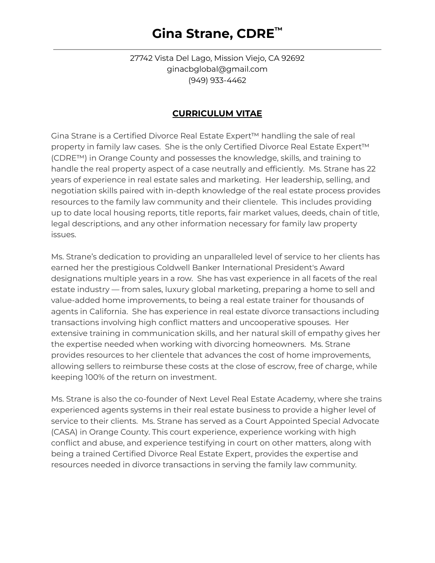27742 Vista Del Lago, Mission Viejo, CA 92692 ginacbglobal@gmail.com (949) 933-4462

#### **CURRICULUM VITAE**

Gina Strane is a Certified Divorce Real Estate Expert™ handling the sale of real property in family law cases. She is the only Certified Divorce Real Estate Expert™ (CDRE™) in Orange County and possesses the knowledge, skills, and training to handle the real property aspect of a case neutrally and efficiently. Ms. Strane has 22 years of experience in real estate sales and marketing. Her leadership, selling, and negotiation skills paired with in-depth knowledge of the real estate process provides resources to the family law community and their clientele. This includes providing up to date local housing reports, title reports, fair market values, deeds, chain of title, legal descriptions, and any other information necessary for family law property issues.

Ms. Strane's dedication to providing an unparalleled level of service to her clients has earned her the prestigious Coldwell Banker International President's Award designations multiple years in a row. She has vast experience in all facets of the real estate industry — from sales, luxury global marketing, preparing a home to sell and value-added home improvements, to being a real estate trainer for thousands of agents in California. She has experience in real estate divorce transactions including transactions involving high conflict matters and uncooperative spouses. Her extensive training in communication skills, and her natural skill of empathy gives her the expertise needed when working with divorcing homeowners. Ms. Strane provides resources to her clientele that advances the cost of home improvements, allowing sellers to reimburse these costs at the close of escrow, free of charge, while keeping 100% of the return on investment.

Ms. Strane is also the co-founder of Next Level Real Estate Academy, where she trains experienced agents systems in their real estate business to provide a higher level of service to their clients. Ms. Strane has served as a Court Appointed Special Advocate (CASA) in Orange County. This court experience, experience working with high conflict and abuse, and experience testifying in court on other matters, along with being a trained Certified Divorce Real Estate Expert, provides the expertise and resources needed in divorce transactions in serving the family law community.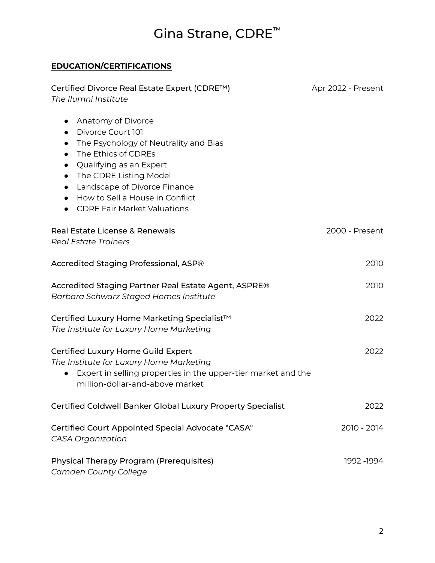### **EDUCATION/CERTIFICATIONS**

| Certified Divorce Real Estate Expert (CDRE™)<br>The Ilumni Institute                                                                                                                                                                                                                                                                                                          | Apr 2022 - Present |
|-------------------------------------------------------------------------------------------------------------------------------------------------------------------------------------------------------------------------------------------------------------------------------------------------------------------------------------------------------------------------------|--------------------|
| Anatomy of Divorce<br>$\bullet$<br>Divorce Court 101<br>$\bullet$<br>The Psychology of Neutrality and Bias<br>$\bullet$<br>The Ethics of CDREs<br>$\bullet$<br>Qualifying as an Expert<br>$\bullet$<br>The CDRE Listing Model<br>$\bullet$<br>Landscape of Divorce Finance<br>$\bullet$<br>How to Sell a House in Conflict<br>$\bullet$<br><b>CDRE Fair Market Valuations</b> |                    |
| Real Estate License & Renewals<br><b>Real Estate Trainers</b>                                                                                                                                                                                                                                                                                                                 | 2000 - Present     |
| Accredited Staging Professional, ASP®                                                                                                                                                                                                                                                                                                                                         | 2010               |
| Accredited Staging Partner Real Estate Agent, ASPRE®<br>Barbara Schwarz Staged Homes Institute                                                                                                                                                                                                                                                                                | 2010               |
| Certified Luxury Home Marketing Specialist™<br>The Institute for Luxury Home Marketing                                                                                                                                                                                                                                                                                        | 2022               |
| Certified Luxury Home Guild Expert<br>The Institute for Luxury Home Marketing<br>Expert in selling properties in the upper-tier market and the<br>$\bullet$<br>million-dollar-and-above market                                                                                                                                                                                | 2022               |
| Certified Coldwell Banker Global Luxury Property Specialist                                                                                                                                                                                                                                                                                                                   | 2022               |
| Certified Court Appointed Special Advocate "CASA"<br><b>CASA Organization</b>                                                                                                                                                                                                                                                                                                 | 2010 - 2014        |
| <b>Physical Therapy Program (Prerequisites)</b><br>Camden County College                                                                                                                                                                                                                                                                                                      | 1992 - 1994        |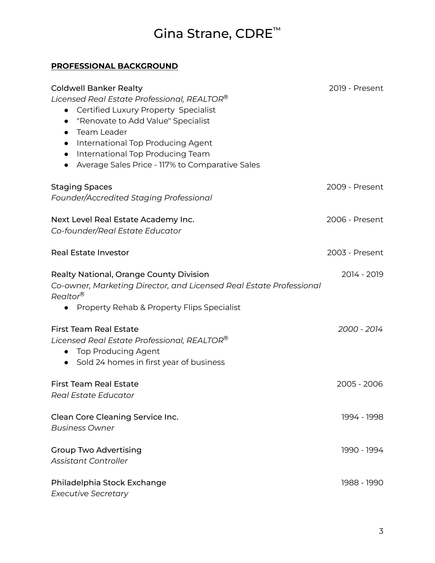#### **PROFESSIONAL BACKGROUND**

| <b>Coldwell Banker Realty</b><br>Licensed Real Estate Professional, REALTOR <sup>®</sup><br>Certified Luxury Property Specialist<br>$\bullet$<br>"Renovate to Add Value" Specialist<br>$\bullet$<br>Team Leader<br>$\bullet$<br>International Top Producing Agent<br>$\bullet$<br>International Top Producing Team<br>$\bullet$<br>Average Sales Price - 117% to Comparative Sales<br>$\bullet$ | 2019 - Present |
|-------------------------------------------------------------------------------------------------------------------------------------------------------------------------------------------------------------------------------------------------------------------------------------------------------------------------------------------------------------------------------------------------|----------------|
| <b>Staging Spaces</b><br>Founder/Accredited Staging Professional                                                                                                                                                                                                                                                                                                                                | 2009 - Present |
| Next Level Real Estate Academy Inc.<br>Co-founder/Real Estate Educator                                                                                                                                                                                                                                                                                                                          | 2006 - Present |
| <b>Real Estate Investor</b>                                                                                                                                                                                                                                                                                                                                                                     | 2003 - Present |
| Realty National, Orange County Division<br>Co-owner, Marketing Director, and Licensed Real Estate Professional<br>Realtor <sup>®</sup><br>Property Rehab & Property Flips Specialist                                                                                                                                                                                                            | 2014 - 2019    |
| <b>First Team Real Estate</b><br>Licensed Real Estate Professional, REALTOR <sup>®</sup><br><b>Top Producing Agent</b><br>Sold 24 homes in first year of business                                                                                                                                                                                                                               | 2000 - 2014    |
| <b>First Team Real Estate</b><br><b>Real Estate Educator</b>                                                                                                                                                                                                                                                                                                                                    | 2005 - 2006    |
| Clean Core Cleaning Service Inc.<br><b>Business Owner</b>                                                                                                                                                                                                                                                                                                                                       | 1994 - 1998    |
| <b>Group Two Advertising</b><br><b>Assistant Controller</b>                                                                                                                                                                                                                                                                                                                                     | 1990 - 1994    |
| Philadelphia Stock Exchange<br><b>Executive Secretary</b>                                                                                                                                                                                                                                                                                                                                       | 1988 - 1990    |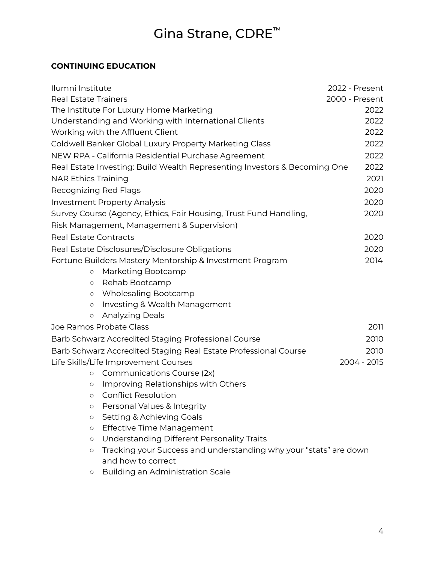### **CONTINUING EDUCATION**

| Ilumni Institute                                                             | 2022 - Present |
|------------------------------------------------------------------------------|----------------|
| <b>Real Estate Trainers</b>                                                  | 2000 - Present |
| The Institute For Luxury Home Marketing                                      | 2022           |
| Understanding and Working with International Clients                         | 2022           |
| Working with the Affluent Client                                             | 2022           |
| Coldwell Banker Global Luxury Property Marketing Class                       | 2022           |
| NEW RPA - California Residential Purchase Agreement                          | 2022           |
| Real Estate Investing: Build Wealth Representing Investors & Becoming One    | 2022           |
| <b>NAR Ethics Training</b>                                                   | 2021           |
| Recognizing Red Flags                                                        | 2020           |
| <b>Investment Property Analysis</b>                                          | 2020           |
| Survey Course (Agency, Ethics, Fair Housing, Trust Fund Handling,            | 2020           |
| Risk Management, Management & Supervision)                                   |                |
| <b>Real Estate Contracts</b>                                                 | 2020           |
| Real Estate Disclosures/Disclosure Obligations                               | 2020           |
| Fortune Builders Mastery Mentorship & Investment Program                     | 2014           |
| Marketing Bootcamp<br>$\bigcirc$                                             |                |
| Rehab Bootcamp<br>$\circ$                                                    |                |
| <b>Wholesaling Bootcamp</b><br>$\circ$                                       |                |
| Investing & Wealth Management<br>$\circ$                                     |                |
| <b>Analyzing Deals</b><br>$\circ$                                            |                |
| Joe Ramos Probate Class                                                      | 2011           |
| Barb Schwarz Accredited Staging Professional Course                          | 2010           |
| Barb Schwarz Accredited Staging Real Estate Professional Course              | 2010           |
| Life Skills/Life Improvement Courses                                         | 2004 - 2015    |
| Communications Course (2x)<br>$\circ$                                        |                |
| Improving Relationships with Others<br>$\circlearrowright$                   |                |
| <b>Conflict Resolution</b><br>$\circ$                                        |                |
| Personal Values & Integrity<br>$\circ$                                       |                |
| Setting & Achieving Goals<br>$\circ$                                         |                |
| <b>Effective Time Management</b><br>$\circ$                                  |                |
| Understanding Different Personality Traits<br>$\circ$                        |                |
| Tracking your Success and understanding why your "stats" are down<br>$\circ$ |                |
| and how to correct                                                           |                |
| <b>Building an Administration Scale</b><br>$\circ$                           |                |